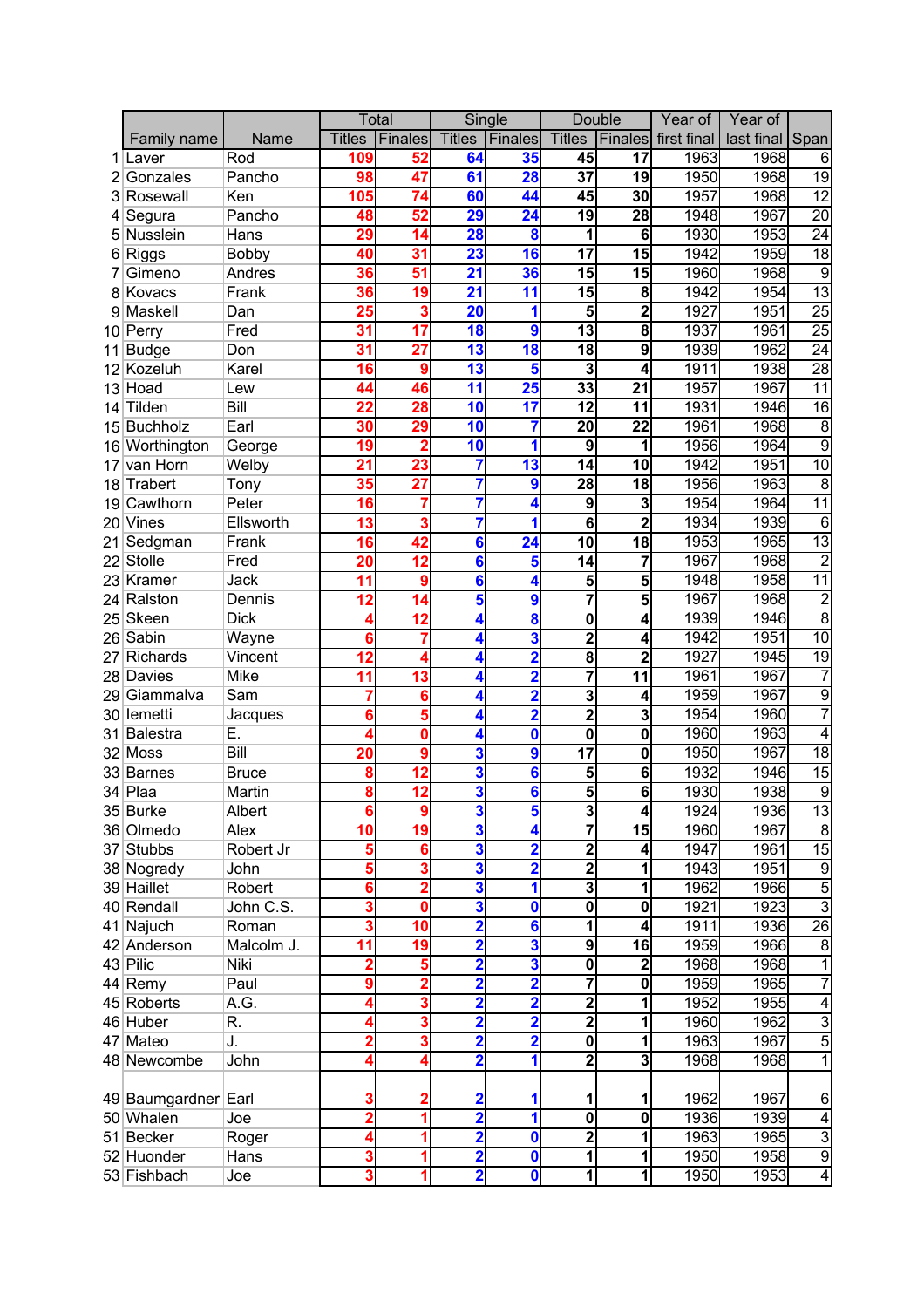|                 |                     |                  | Total         |                 | Single                  |                         | Double                  |                         | Year of     | Year of    |                         |
|-----------------|---------------------|------------------|---------------|-----------------|-------------------------|-------------------------|-------------------------|-------------------------|-------------|------------|-------------------------|
|                 | Family name         | Name             | <b>Titles</b> | Finales         | <b>Titles</b>           | Finales                 | <b>Titles</b>           | Finales                 | first final | last final | Span                    |
|                 | Laver               | Rod              | 109           | 52              | 64                      | 35                      | 45                      | $\overline{17}$         | 1963        | 1968       | 6                       |
|                 | Gonzales            | Pancho           | 98            | 47              | 61                      | <b>28</b>               | $\overline{37}$         | 19                      | 1950        | 1968       | $\overline{19}$         |
| 3               | Rosewall            | Ken              | 105           | 74              | 60                      | 44                      | 45                      | 30                      | 1957        | 1968       | 12                      |
| 4               | Segura              | Pancho           | 48            | 52              | 29                      | 24                      | 19                      | 28                      | 1948        | 1967       | $\overline{20}$         |
| 5               | Nusslein            | Hans             | 29            | 14              | 28                      | 8                       | 1                       | 6                       | 1930        | 1953       | $\overline{24}$         |
| 6               | Riggs               | Bobby            | 40            | 31              | 23                      | 16                      | 17                      | 15                      | 1942        | 1959       | $\overline{18}$         |
| 7               | Gimeno              | Andres           | 36            | 51              | 21                      | 36                      | 15                      | 15                      | 1960        | 1968       | 9                       |
|                 | 8 Kovacs            | Frank            | 36            | 19              | 21                      | 11                      | 15                      | 8                       | 1942        | 1954       | $\overline{13}$         |
| 9               | Maskell             | Dan              | 25            | 3               | 20                      | 1                       | 5                       | $\overline{\mathbf{c}}$ | 1927        | 1951       | $\overline{25}$         |
| 10 <sup>1</sup> | Perry               | Fred             | 31            | 17              | 18                      | 9                       | 13                      | 8                       | 1937        | 1961       | $\overline{25}$         |
| 11              | <b>Budge</b>        | Don              | 31            | 27              | 13                      | 18                      | 18                      | 9                       | 1939        | 1962       | $\overline{24}$         |
|                 | $12$ Kozeluh        | Karel            | 16            | 9               | 13                      | 5                       | 3                       | 4                       | 1911        | 1938       | 28                      |
|                 | 13 Hoad             | Lew              | 44            | 46              | 11                      | 25                      | 33                      | 21                      | 1957        | 1967       | $\overline{11}$         |
| 14              | Tilden              | <b>Bill</b>      | 22            | 28              | 10                      | 17                      | 12                      | 11                      | 1931        | 1946       | 16                      |
|                 | 15 Buchholz         | Earl             | 30            | 29              | 10                      | 7                       | 20                      | 22                      | 1961        | 1968       | 8                       |
|                 | 16 Worthington      | George           | 19            | 2               | 10                      | 1                       | 9                       | 1                       | 1956        | 1964       | $\overline{9}$          |
| 17              | van Horn            | Welby            | 21            | 23              | 7                       | $\overline{13}$         | 14                      | $\overline{10}$         | 1942        | 1951       | $\overline{10}$         |
| 18              | Trabert             | Tony             | 35            | $\overline{27}$ | 7                       | 9                       | 28                      | $\overline{18}$         | 1956        | 1963       | 8                       |
| 19              | Cawthorn            | Peter            | 16            | 7               | 7                       | 4                       | 9                       | 3                       | 1954        | 1964       | $\overline{11}$         |
|                 | 20 Vines            | Ellsworth        | 13            |                 | 7                       | 1                       | 6                       | $\overline{2}$          | 1934        | 1939       | 6                       |
| 21              | Sedgman             | Frank            | 16            | 42              | $\bf{6}$                | $\overline{24}$         | 10                      | 18                      | 1953        | 1965       | $\overline{13}$         |
| 22              | Stolle              | Fred             | 20            | $\overline{12}$ | $\bf{6}$                | 5                       | 14                      | 7                       | 1967        | 1968       | $\overline{2}$          |
|                 | 23 Kramer           | Jack             | 11            | 9               | $\bf{6}$                | 4                       | 5                       | 5                       | 1948        | 1958       | $\overline{11}$         |
|                 | 24 Ralston          | Dennis           | 12            | 14              | 5                       | 9                       | 7                       | $\overline{5}$          | 1967        | 1968       | $\overline{c}$          |
|                 | 25 Skeen            | <b>Dick</b>      |               | $\overline{12}$ | 4                       | 8                       | $\mathbf 0$             | 4                       | 1939        | 1946       | $\overline{8}$          |
|                 | 26 Sabin            |                  | 6             |                 | 4                       | 3                       | $\overline{2}$          | 4                       | 1942        | 1951       | $\overline{10}$         |
| 27              | Richards            | Wayne<br>Vincent | 12            |                 |                         | $\overline{\mathbf{2}}$ | $\overline{\mathbf{8}}$ | $\overline{2}$          | 1927        | 1945       | 19                      |
|                 | 28 Davies           | Mike             | 11            | 13              | 4                       | $\overline{\mathbf{2}}$ | 7                       | 11                      | 1961        | 1967       |                         |
| 29              |                     | Sam              |               | 6               | 4                       |                         |                         |                         | 1959        |            |                         |
|                 | Giammalva           |                  |               |                 | 4                       | $\overline{\mathbf{2}}$ | 3                       | 4                       |             | 1967       | 9                       |
|                 | 30 lemetti          | Jacques          | 6             | 5               | 4                       | $\overline{\mathbf{2}}$ | $\overline{2}$          | 3                       | 1954        | 1960       |                         |
| 31              | Balestra            | Ε.               |               | 0               | 4                       | 0                       | $\mathbf 0$             | 0                       | 1960        | 1963       | 4                       |
|                 | 32 Moss             | Bill             | 20            | 9               | 3                       | 9                       | 17                      | 0                       | 1950        | 1967       | $\overline{18}$         |
|                 | 33 Barnes           | <b>Bruce</b>     | 8             | 12              | 3                       | $6\phantom{1}6$         | 5                       | 6                       | 1932        | 1946       | 15                      |
|                 | 34 Plaa             | Martin           | 8             | 12              | 3                       | $6\phantom{1}6$         | 5                       | 6                       | 1930        | 1938       | 9                       |
|                 | 35 Burke            | Albert           |               |                 | 3                       | b                       | 3                       | 4                       | 1924        | 1936       | 13                      |
|                 | 36 Olmedo           | Alex             | 10            | 19              | $\overline{\mathbf{3}}$ | 4                       |                         | 15                      | 1960        | 1967       | 8                       |
|                 | 37 Stubbs           | Robert Jr        |               | 6               | $\overline{\mathbf{3}}$ | $\overline{\mathbf{2}}$ | 2                       | 4                       | 1947        | 1961       | 15                      |
|                 | 38 Nogrady          | John             |               | 3               | 3                       | $\overline{\mathbf{2}}$ | $\overline{2}$          | 1                       | 1943        | 1951       | 9                       |
|                 | 39 Haillet          | Robert           |               | 2               | $\overline{\mathbf{3}}$ | 1                       | 3                       | 1                       | 1962        | 1966       | $\overline{5}$          |
|                 | 40 Rendall          | John C.S.        |               | 0               | 3                       | $\mathbf 0$             | $\mathbf 0$             | 0                       | 1921        | 1923       | $\overline{3}$          |
|                 | 41 Najuch           | Roman            |               | 10              | $\overline{\mathbf{2}}$ | 6                       | 1                       | 4                       | 1911        | 1936       | $\overline{26}$         |
|                 | 42 Anderson         | Malcolm J.       | 11            | 19              | $\overline{\mathbf{2}}$ | 3                       | 9                       | 16                      | 1959        | 1966       | 8                       |
|                 | 43 Pilic            | Niki             |               | 5               | $\overline{\mathbf{2}}$ | $\overline{\mathbf{3}}$ | $\mathbf 0$             | $\overline{2}$          | 1968        | 1968       |                         |
|                 | 44 Remy             | Paul             | g             | 2               | $\overline{\mathbf{2}}$ | $\overline{\mathbf{2}}$ |                         | 0                       | 1959        | 1965       |                         |
|                 | 45 Roberts          | A.G.             |               | 3               | $\overline{\mathbf{2}}$ | $\overline{\mathbf{2}}$ | $\overline{\mathbf{2}}$ | 1                       | 1952        | 1955       | 4                       |
|                 | 46 Huber            | R.               |               | 3               | $\overline{\mathbf{2}}$ | $\overline{\mathbf{2}}$ | $\overline{\mathbf{c}}$ | 1                       | 1960        | 1962       | 3                       |
|                 | 47 Mateo            | J.               |               | 3               | $\overline{\mathbf{2}}$ | $\overline{\mathbf{2}}$ | 0                       | 1                       | 1963        | 1967       | 5                       |
|                 | 48 Newcombe         | John             |               |                 | $\overline{\mathbf{2}}$ | $\mathbf{1}$            | 2                       | 3                       | 1968        | 1968       | 1                       |
|                 |                     |                  |               |                 |                         |                         |                         |                         |             |            |                         |
|                 | 49 Baumgardner Earl |                  |               |                 | $\overline{\mathbf{2}}$ | 1                       | 1                       | 1                       | 1962        | 1967       | 6                       |
|                 | 50 Whalen           | Joe              |               | 1               | $\overline{\mathbf{2}}$ | 1                       | $\mathbf 0$             | 0                       | 1936        | 1939       | 4                       |
|                 | 51 Becker           | Roger            |               |                 | $\overline{\mathbf{2}}$ | $\mathbf 0$             | 2                       | 1                       | 1963        | 1965       | $\overline{3}$          |
|                 | 52 Huonder          | Hans             |               |                 | $\overline{\mathbf{2}}$ | $\mathbf 0$             | 1                       | 1                       | 1950        | 1958       | $\overline{9}$          |
|                 | 53 Fishbach         | Joe              | 3             |                 | $\overline{\mathbf{2}}$ | $\mathbf 0$             | 1                       | 1                       | 1950        | 1953       | $\overline{\mathbf{r}}$ |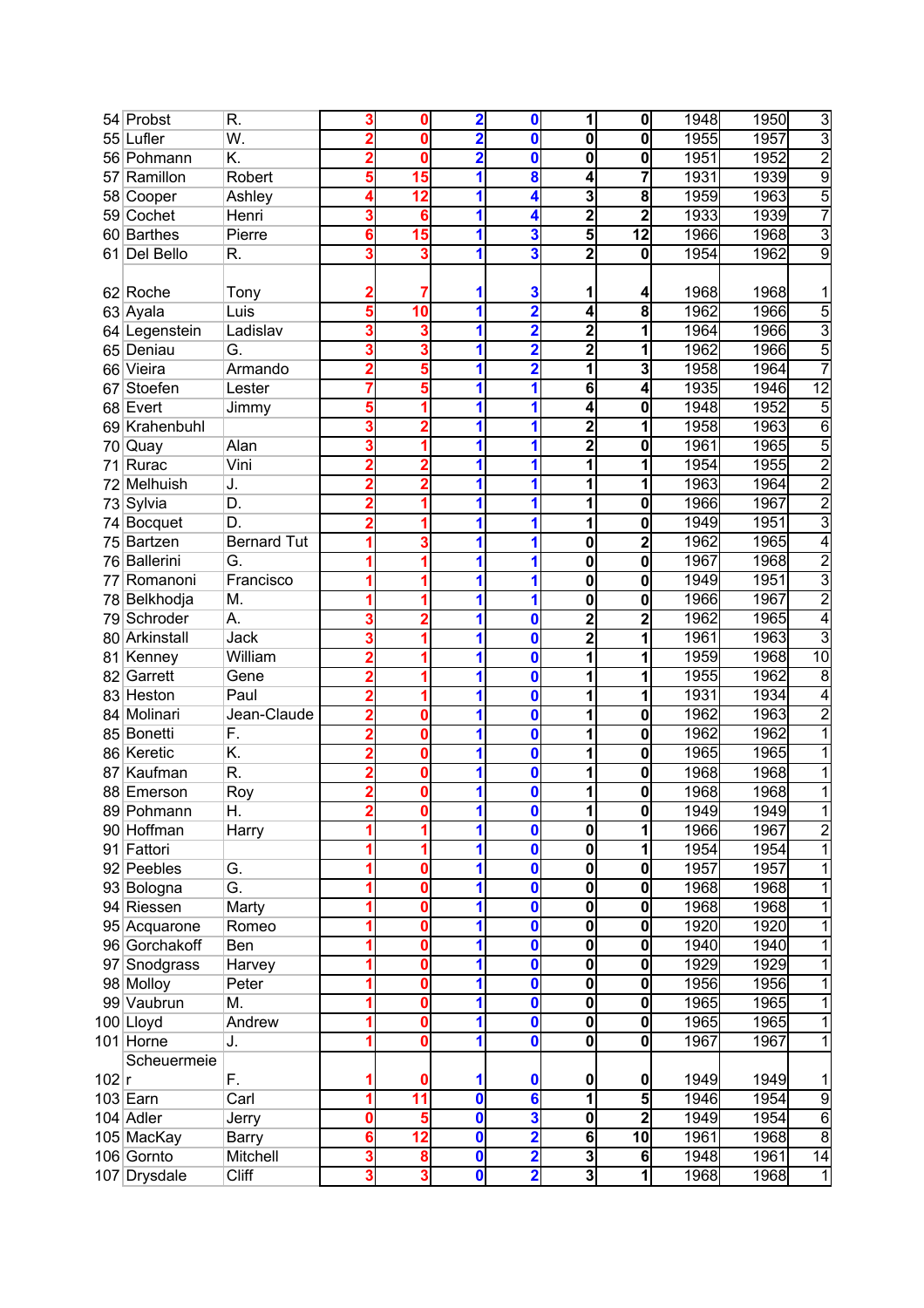|       | 54 Probst        | R.                 |   | 0  | $\overline{\mathbf{2}}$ | 0                       | 1                       | 0              | 1948 | 1950 | 3              |
|-------|------------------|--------------------|---|----|-------------------------|-------------------------|-------------------------|----------------|------|------|----------------|
| 55    | Lufler           | W.                 |   | Ω  | 2                       | 0                       | 0                       | 0              | 1955 | 1957 | $\overline{3}$ |
|       | 56 Pohmann       | K.                 |   | O  | 2                       | 0                       | 0                       | 0              | 1951 | 1952 | $\overline{2}$ |
| 57    | Ramillon         | Robert             |   | 15 | 1                       | 8                       | 4                       | 7              | 1931 | 1939 | $\overline{9}$ |
|       | 58 Cooper        | Ashley             |   | 12 | 1                       | 4                       | 3                       | 8              | 1959 | 1963 | 5              |
| 59    | Cochet           | Henri              | 3 | 6  | 1                       | 4                       | $\overline{2}$          | $\overline{2}$ | 1933 | 1939 | 7              |
| 60    | <b>Barthes</b>   | Pierre             | 6 | 15 | 1                       | 3                       | 5                       | 12             | 1966 | 1968 | 3              |
| 61    | Del Bello        | R.                 | 3 | 3  | 1                       | 3                       | $\mathbf{2}$            | 0              | 1954 | 1962 | 9              |
|       |                  |                    |   |    |                         |                         |                         |                |      |      |                |
|       | 62 Roche         | Tony               |   |    |                         | 3                       | 1                       | 4              | 1968 | 1968 |                |
|       | 63 Ayala         | Luis               |   | 10 | 1                       | $\overline{\mathbf{2}}$ | 4                       | 8              | 1962 | 1966 | 5              |
|       | 64 Legenstein    | Ladislav           |   |    | 1                       | $\overline{\mathbf{2}}$ | $\overline{\mathbf{c}}$ | 1              | 1964 | 1966 | $\overline{3}$ |
|       | 65 Deniau        | G.                 |   |    | 1                       | 2                       | $\overline{\mathbf{2}}$ | 1              | 1962 | 1966 | 5              |
| 66    | Vieira           | Armando            |   |    |                         | $\overline{\mathbf{2}}$ | 1                       | 3              | 1958 | 1964 |                |
| 67    | Stoefen          | Lester             |   |    |                         | 1                       | $6\phantom{1}$          | 4              | 1935 | 1946 | 12             |
|       | 68 Evert         | Jimmy              |   |    | 1                       | 1                       | 4                       | 0              | 1948 | 1952 | 5              |
| 69    | Krahenbuhl       |                    |   |    | 1                       | 1                       | 2                       | 1              | 1958 | 1963 | $\overline{6}$ |
| 70    | Quay             | Alan               |   |    | 1                       | 1                       | $\overline{\mathbf{c}}$ | 0              | 1961 | 1965 | 5              |
| 71    | Rurac            | Vini               |   |    | 1                       | 1                       | 1                       | 1              | 1954 | 1955 | $\overline{2}$ |
| 72    | Melhuish         | J.                 |   |    | 1                       | 1                       | 1                       | 1              | 1963 | 1964 | $\overline{c}$ |
| 73    | Sylvia           | D.                 | 2 |    | 1                       | 1                       | 1                       | 0              | 1966 | 1967 | $\overline{2}$ |
| 74    | <b>Bocquet</b>   | D.                 |   |    | 1                       | 1                       | 1                       | 0              | 1949 | 1951 | 3              |
| 75    | Bartzen          | <b>Bernard Tut</b> |   |    | 1                       | 1                       | 0                       | $\overline{2}$ | 1962 | 1965 | 4              |
| 76    | <b>Ballerini</b> | G.                 |   |    |                         | 1                       | 0                       | 0              | 1967 | 1968 | $\overline{2}$ |
| 77    | Romanoni         | Francisco          |   |    | 1                       | 1                       | 0                       | 0              | 1949 | 1951 | 3              |
|       | 78 Belkhodja     | M.                 |   |    | 1                       | 1                       | 0                       | 0              | 1966 | 1967 | $\overline{c}$ |
|       | 79 Schroder      | А.                 |   |    | 1                       | 0                       | 2                       | $\overline{2}$ | 1962 | 1965 | 4              |
|       | 80 Arkinstall    | Jack               |   |    |                         | 0                       | $\overline{2}$          | 1              | 1961 | 1963 | 3              |
| 81    | Kenney           | William            |   |    |                         | 0                       | 1                       | 1              | 1959 | 1968 | 10             |
| 82    | Garrett          | Gene               |   |    |                         | 0                       | 1                       | 1              | 1955 | 1962 | $\overline{8}$ |
|       | 83 Heston        | Paul               |   |    |                         | 0                       | 1                       | 1              | 1931 | 1934 | 4              |
| 84    | Molinari         | Jean-Claude        |   | 0  | 1                       | $\mathbf 0$             | 1                       | 0              | 1962 | 1963 | $\overline{c}$ |
| 85    | <b>Bonetti</b>   | F.                 |   | 0  | 1                       | $\mathbf 0$             | 1                       | 0              | 1962 | 1962 |                |
|       | 86 Keretic       | K.                 |   | O  | 1                       | $\mathbf 0$             | 1                       | 0              | 1965 | 1965 |                |
| 87    | Kaufman          | R.                 |   |    |                         | $\bf{0}$                | 1                       | 0              | 1968 | 1968 |                |
|       | 88 Emerson       | Roy                |   | 0  | 1                       | $\mathbf 0$             | 1                       | 0              | 1968 | 1968 |                |
|       | 89 Pohmann       | Η.                 | 2 | 0  | 1                       | $\mathbf 0$             | 1                       | 0              | 1949 | 1949 |                |
|       | 90 Hoffman       | Harry              |   |    | 1                       | $\mathbf 0$             | $\overline{\mathbf{o}}$ | 1              | 1966 | 1967 | $\overline{c}$ |
| 91    | Fattori          |                    |   |    | 1                       | 0                       | $\mathbf 0$             | 1              | 1954 | 1954 |                |
|       | 92 Peebles       | G.                 |   | 0  |                         | 0                       | $\overline{\mathbf{o}}$ | 0              | 1957 | 1957 |                |
|       | 93 Bologna       | G.                 |   | 0  | 1                       | $\mathbf 0$             | $\mathbf 0$             | 0              | 1968 | 1968 |                |
|       | 94 Riessen       | Marty              |   | 0  | 1                       | $\mathbf 0$             | $\overline{\mathbf{o}}$ | 0              | 1968 | 1968 |                |
|       | 95 Acquarone     | Romeo              |   | 0  | 1                       | 0                       | $\mathbf 0$             | 0              | 1920 | 1920 |                |
|       | 96 Gorchakoff    | Ben                |   | 0  | 1                       | 0                       | $\mathbf{0}$            | 0              | 1940 | 1940 |                |
|       | 97 Snodgrass     | Harvey             |   | Ω  | 1                       | $\mathbf 0$             | $\mathbf{0}$            | 0              | 1929 | 1929 |                |
|       | 98 Molloy        | Peter              |   | Ω  | 1                       | $\mathbf 0$             | $\mathbf{0}$            | 0              | 1956 | 1956 |                |
|       | 99 Vaubrun       | М.                 |   | Ω  |                         | $\mathbf 0$             | 0                       | 0              | 1965 | 1965 |                |
|       | 100 Lloyd        | Andrew             |   | 0  | 1                       | 0                       | 0                       | 0              | 1965 | 1965 |                |
|       | 101 Horne        | J.                 |   |    |                         | $\mathbf{0}$            | $\overline{\mathbf{o}}$ | 0              | 1967 | 1967 |                |
|       | Scheuermeie      |                    |   |    |                         |                         |                         |                |      |      |                |
| 102 r |                  | F.                 |   | O  | 1                       | 0                       | $\pmb{0}$               | 0              | 1949 | 1949 | 1              |
|       | $103$ Earn       | Carl               |   | 11 | 0                       | $6\phantom{a}$          | $\mathbf{1}$            | 5              | 1946 | 1954 | $\overline{9}$ |
|       | 104 Adler        | Jerry              | 0 |    | 0                       | 3                       | $\overline{\mathbf{o}}$ | $\overline{2}$ | 1949 | 1954 | $\overline{6}$ |
|       | 105 MacKay       | Barry              | 6 | 12 | 0                       | $\overline{\mathbf{2}}$ | 6                       | 10             | 1961 | 1968 | 8              |
|       | 106 Gornto       | Mitchell           | 3 | 8  | $\bf{0}$                | $\overline{\mathbf{2}}$ | 3                       | 6              | 1948 | 1961 | 14             |
|       | 107 Drysdale     | Cliff              | 3 | 3  | $\mathbf 0$             | $\overline{\mathbf{2}}$ | $\overline{3}$          | 1              | 1968 | 1968 | 1              |
|       |                  |                    |   |    |                         |                         |                         |                |      |      |                |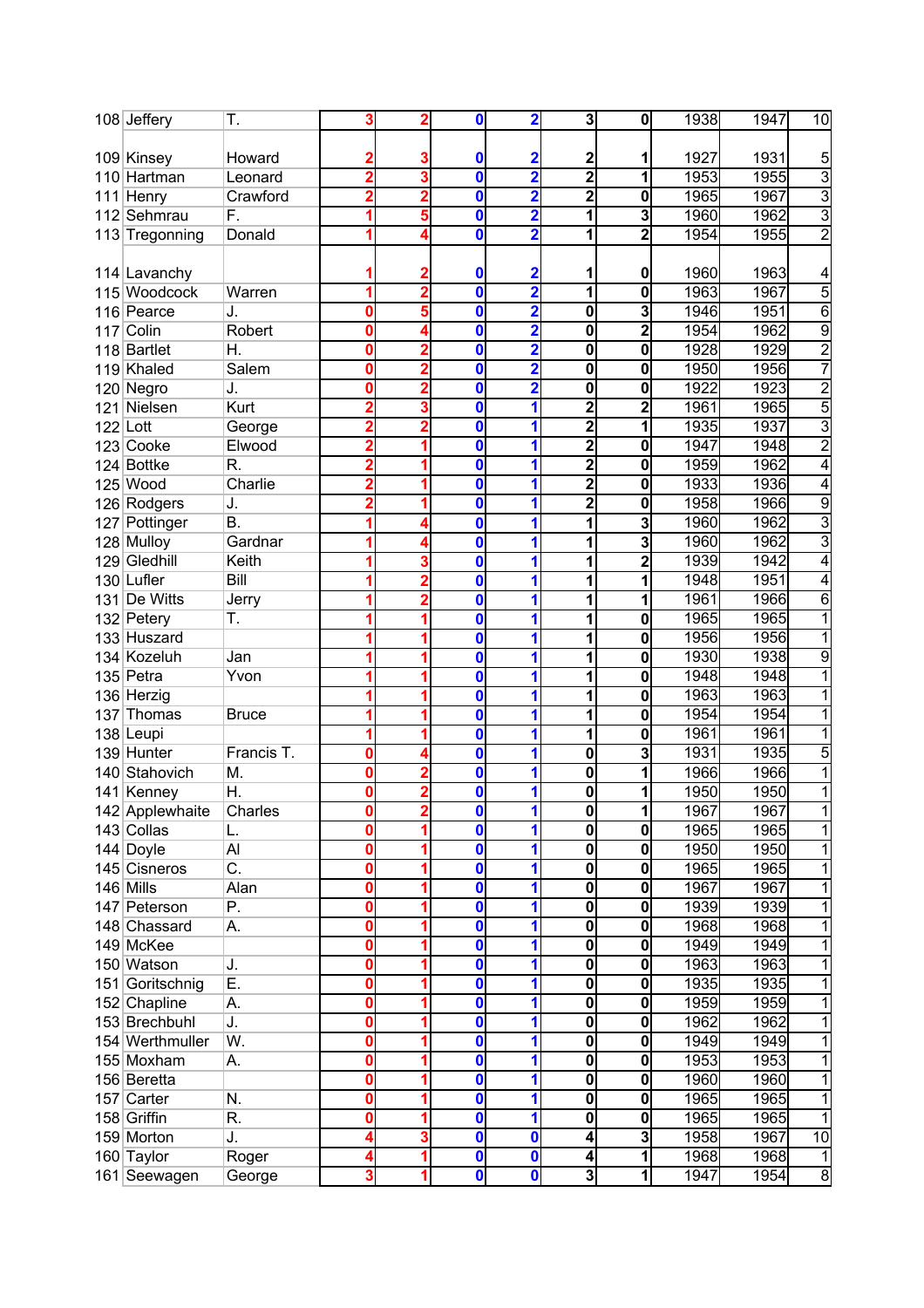|     | 108 Jeffery     | Τ.                        | 3        | 2              | 0                       | $\overline{\mathbf{2}}$ | 3                       | $\mathbf 0$    | 1938 | 1947 | 10             |
|-----|-----------------|---------------------------|----------|----------------|-------------------------|-------------------------|-------------------------|----------------|------|------|----------------|
|     |                 |                           |          |                |                         |                         |                         |                |      |      |                |
|     | 109 Kinsey      | Howard                    |          |                | 0                       | $\overline{\mathbf{2}}$ | $\overline{\mathbf{c}}$ |                | 1927 | 1931 | 5              |
|     | 110 Hartman     | Leonard                   |          | 3              | 0                       | $\overline{\mathbf{2}}$ | 2                       | 1              | 1953 | 1955 | $\overline{3}$ |
| 111 | Henry           | Crawford                  |          | 2              | 0                       | $\overline{\mathbf{2}}$ | $\mathbf 2$             | 0              | 1965 | 1967 | $\overline{3}$ |
|     | 112 Sehmrau     | F.                        |          | 5              | 0                       | 2                       | 1                       | 3              | 1960 | 1962 | $\overline{3}$ |
|     | 113 Tregonning  | Donald                    |          | 4              | O                       | $\overline{\mathbf{2}}$ | 1                       | $\overline{2}$ | 1954 | 1955 | $\overline{2}$ |
|     |                 |                           |          |                |                         |                         |                         |                |      |      |                |
|     | 114 Lavanchy    |                           |          |                | 0                       | $\overline{\mathbf{c}}$ | 1                       | 0              | 1960 | 1963 | 4              |
|     | 115 Woodcock    | Warren                    |          | $\overline{2}$ | $\mathbf{0}$            | $\overline{\mathbf{2}}$ | $\overline{1}$          | 0              | 1963 | 1967 | 5              |
|     | 116 Pearce      | J.                        | 0        | 5              | 0                       | $\overline{\mathbf{2}}$ | $\bf{0}$                | 3              | 1946 | 1951 | $\overline{6}$ |
|     | 117 Colin       | Robert                    | 0        |                | 0                       | $\overline{\mathbf{2}}$ | $\bf{0}$                | $\overline{2}$ | 1954 | 1962 | 9              |
|     | 118 Bartlet     | Н.                        | 0        |                | 0                       | $\overline{\mathbf{2}}$ | $\mathbf 0$             | 0              | 1928 | 1929 | $\overline{2}$ |
|     | 119 Khaled      | Salem                     | 0        |                | 0                       | $\overline{\mathbf{2}}$ | $\mathbf 0$             | 0              | 1950 | 1956 |                |
|     | 120 Negro       | J.                        | 0        |                | $\bf{0}$                | $\overline{\mathbf{2}}$ | $\mathbf 0$             | 0              | 1922 | 1923 | $\overline{c}$ |
| 121 | Nielsen         | Kurt                      |          |                | 0                       | 1                       | $\overline{2}$          | 2              | 1961 | 1965 | 5              |
|     | $122$ Lott      | George                    |          |                | 0                       | 1                       | $\overline{2}$          |                | 1935 | 1937 | $\overline{3}$ |
|     | 123 Cooke       | Elwood                    |          |                | 0                       | 1                       | $\overline{\mathbf{c}}$ | 0              | 1947 | 1948 | $\overline{2}$ |
|     | 124 Bottke      | R.                        |          |                | 0                       | 1                       | 2                       | 0              | 1959 | 1962 | 4              |
|     | $125$ Wood      | Charlie                   |          |                | $\mathbf{0}$            | 1                       | 2                       | 0              | 1933 | 1936 | 4              |
|     | 126 Rodgers     | J.                        |          |                | 0                       | 1                       | 2                       | 0              | 1958 | 1966 | 9              |
|     |                 | Β.                        |          | Δ              | 0                       | 1                       | 1                       | 3              | 1960 | 1962 | 3              |
|     | 127 Pottinger   | Gardnar                   |          |                |                         |                         |                         |                |      |      |                |
|     | 128 Mulloy      |                           |          | 4              | 0                       | 1                       | 1                       | 3              | 1960 | 1962 | 3              |
|     | 129 Gledhill    | Keith                     |          | 3              | 0                       | 1                       | 1                       | $\overline{2}$ | 1939 | 1942 | 4              |
|     | 130 Lufler      | Bill                      |          |                | 0                       | 1                       | 1                       | 1              | 1948 | 1951 | 4              |
|     | 131 De Witts    | Jerry                     |          | 2              | $\overline{\mathbf{0}}$ | 1                       | 1                       | 1              | 1961 | 1966 | 6              |
|     | 132 Petery      | Т.                        |          |                | 0                       | 1                       | 1                       | 0              | 1965 | 1965 |                |
|     | 133 Huszard     |                           |          |                | 0                       | 1                       | 1                       | 0              | 1956 | 1956 |                |
|     | 134 Kozeluh     | Jan                       |          |                | 0                       | 1                       | 1                       | 0              | 1930 | 1938 | 9              |
|     | 135 Petra       | Yvon                      |          |                | 0                       | 1                       | 1                       | 0              | 1948 | 1948 |                |
|     | 136 Herzig      |                           |          |                | 0                       | 1                       | 1                       | 0              | 1963 | 1963 |                |
| 137 | Thomas          | <b>Bruce</b>              |          |                | 0                       | 1                       | 1                       | 0              | 1954 | 1954 |                |
|     | 138 Leupi       |                           |          |                | 0                       | 1                       | 1                       | 0              | 1961 | 1961 |                |
|     | 139 Hunter      | Francis T.                | 0        |                | 0                       | 1                       | $\overline{\mathbf{o}}$ | 3              | 1931 | 1935 | 5              |
|     | 140 Stahovich   | М.                        | 0        | 2              | 0                       | 1                       | $\bf{0}$                | 1              | 1966 | 1966 |                |
|     | 141 Kenney      | Η.                        | 0        | $\overline{2}$ | $\mathbf{0}$            | 1                       | 0                       | 1              | 1950 | 1950 | 1              |
|     | 142 Applewhaite | Charles                   | 0        | 2              | 0                       | 1                       | 0                       | 1              | 1967 | 1967 |                |
|     | 143 Collas      | L.                        | O        |                | 0                       | 1                       | $\mathbf 0$             | 0              | 1965 | 1965 |                |
|     | $144$ Doyle     | Al                        | 0        |                | 0                       | 1                       | $\mathbf 0$             | 0              | 1950 | 1950 |                |
|     | 145 Cisneros    | $\overline{\mathsf{C}}$ . | 0        | 1              | 0                       | 1                       | $\mathbf 0$             | $\mathbf 0$    | 1965 | 1965 |                |
|     | $146$ Mills     | Alan                      | $\bf{0}$ | 1              | 0                       | 1                       | $\mathbf 0$             | 0              | 1967 | 1967 |                |
|     | 147 Peterson    | Ρ.                        | 0        |                | 0                       | 1                       | $\mathbf 0$             | 0              | 1939 | 1939 |                |
|     | 148 Chassard    | А.                        | O        | 1              | $\mathbf{0}$            | 1                       | $\bf{0}$                | 0              | 1968 | 1968 |                |
|     | 149 McKee       |                           | 0        | 1              | $\mathbf{0}$            | 1                       | $\mathbf 0$             | 0              | 1949 | 1949 |                |
|     | 150 Watson      | J.                        | 0        |                | 0                       | 1                       | $\mathbf 0$             | 0              | 1963 | 1963 |                |
|     | 151 Goritschnig | Ε.                        | 0        |                | 0                       | 1                       | $\mathbf 0$             | 0              | 1935 | 1935 |                |
|     | 152 Chapline    | А.                        | 0        |                | 0                       | 1                       | $\mathbf 0$             | 0              | 1959 | 1959 |                |
|     | 153 Brechbuhl   | J.                        | 0        |                | 0                       | 1                       | $\mathbf 0$             | 0              | 1962 | 1962 |                |
|     | 154 Werthmuller | W.                        | 0        |                | 0                       | 1                       | $\mathbf 0$             | 0              | 1949 | 1949 |                |
|     | 155 Moxham      | А.                        | 0        |                | 0                       | 1                       | $\mathbf{0}$            | 0              | 1953 | 1953 |                |
|     | 156 Beretta     |                           | 0        |                | $\mathbf{0}$            | 1                       | $\overline{\mathbf{o}}$ | 0              | 1960 | 1960 |                |
|     | 157 Carter      | N.                        | 0        |                | $\mathbf{0}$            | 1                       | $\overline{\mathbf{o}}$ | 0              | 1965 | 1965 |                |
|     | 158 Griffin     | R.                        | 0        |                | 0                       | 1                       | $\mathbf 0$             | 0              | 1965 | 1965 | 1              |
|     | 159 Morton      | J.                        |          | 3              | 0                       | 0                       | 4                       | 3              | 1958 | 1967 | 10             |
|     | 160 Taylor      | Roger                     |          | 1              | $\mathbf{0}$            | 0                       | $\overline{\mathbf{A}}$ | 1              | 1968 | 1968 | 1              |
|     | 161 Seewagen    | George                    | 3        | 1              | $\mathbf 0$             | 0                       | 3                       | 1              | 1947 | 1954 | 8              |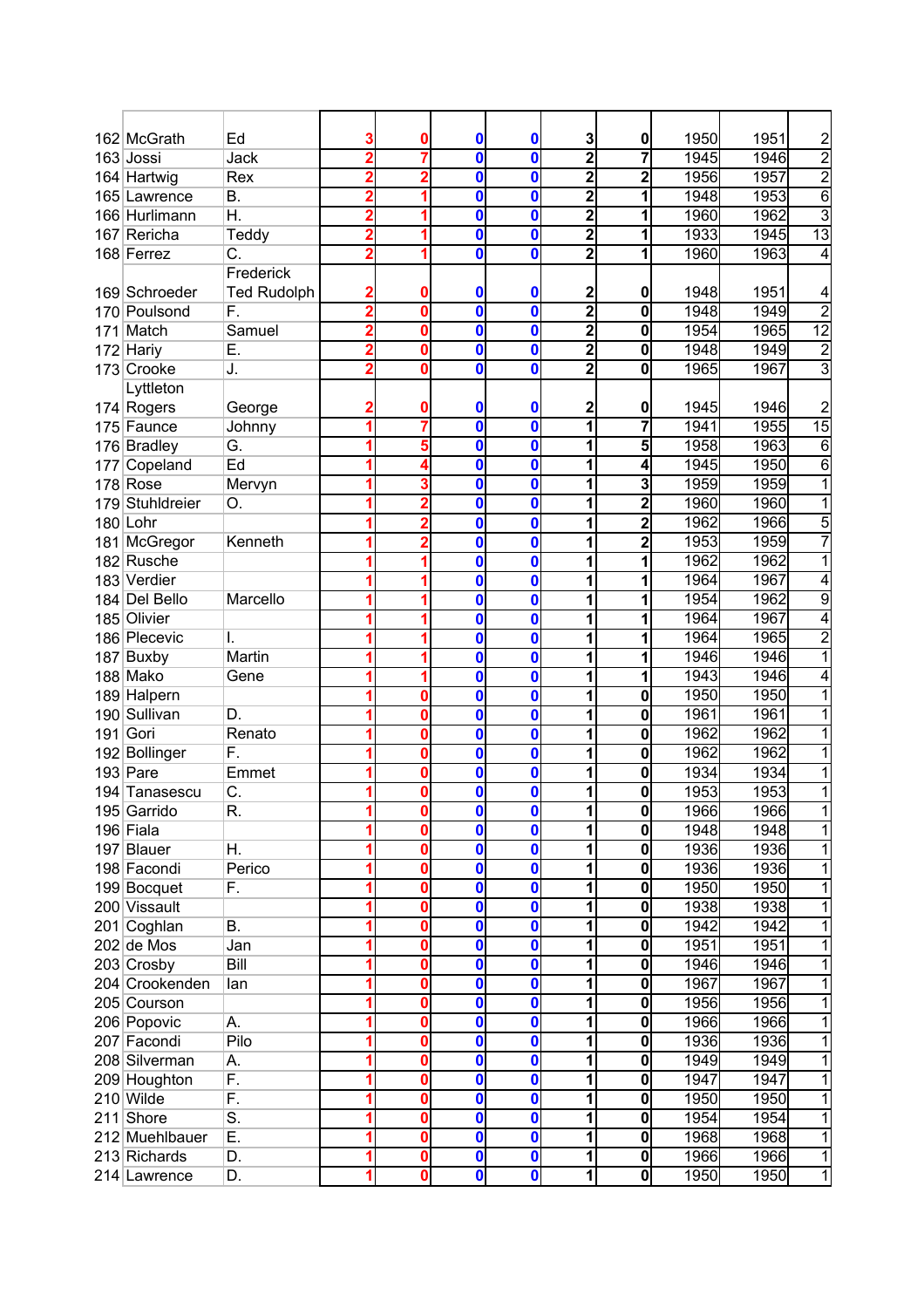|     | 162 McGrath     | Ed                 |   | 0 | 0                       | 0           | 3                       | 0                       | 1950 | 1951 | $\overline{\mathbf{c}}$ |
|-----|-----------------|--------------------|---|---|-------------------------|-------------|-------------------------|-------------------------|------|------|-------------------------|
|     | 163 Jossi       | Jack               |   |   | 0                       | 0           | $\overline{2}$          |                         | 1945 | 1946 | $\overline{2}$          |
|     | 164 Hartwig     | Rex                |   |   | 0                       | 0           | $\overline{2}$          | 2                       | 1956 | 1957 | $\overline{2}$          |
|     | 165 Lawrence    | В.                 |   |   | $\mathbf{0}$            | 0           | 2                       |                         | 1948 | 1953 | 6                       |
|     | 166 Hurlimann   | Η.                 |   |   | 0                       | 0           | $\overline{\mathbf{2}}$ | 1                       | 1960 | 1962 | 3                       |
|     | 167 Rericha     | Teddy              | 2 |   | 0                       | 0           | $\overline{2}$          | 1                       | 1933 | 1945 | $\overline{13}$         |
|     | 168 Ferrez      | C.                 | 2 |   | 0                       | 0           | $\overline{\mathbf{c}}$ | 1                       | 1960 | 1963 | 4                       |
|     |                 | Frederick          |   |   |                         |             |                         |                         |      |      |                         |
|     | 169 Schroeder   | <b>Ted Rudolph</b> |   | 0 | 0                       | 0           | 2                       | 0                       | 1948 | 1951 | 4                       |
|     | 170 Poulsond    | F.                 | 2 | 0 | 0                       | 0           | $\overline{2}$          | $\mathbf 0$             | 1948 | 1949 | $\overline{2}$          |
| 171 | Match           | Samuel             |   | 0 | 0                       | 0           | $\overline{2}$          | $\mathbf 0$             | 1954 | 1965 | 12                      |
|     | 172 Hariy       | Ε.                 |   | 0 | 0                       | 0           | 2                       | $\mathbf 0$             | 1948 | 1949 | $\overline{\mathbf{c}}$ |
|     | 173 Crooke      | J.                 | 2 | 0 | 0                       | 0           | $\overline{\mathbf{2}}$ | $\mathbf 0$             | 1965 | 1967 | $\overline{3}$          |
|     | Lyttleton       |                    |   |   |                         |             |                         |                         |      |      |                         |
|     | 174 Rogers      | George             |   |   | 0                       | 0           | 2                       | 0                       | 1945 | 1946 | $\overline{c}$          |
|     | 175 Faunce      | Johnny             |   |   | 0                       | 0           | 1                       | 7                       | 1941 | 1955 | 15                      |
|     | 176 Bradley     | G.                 |   | 5 | 0                       | 0           | 1                       | 5                       | 1958 | 1963 | 6                       |
|     | 177 Copeland    | Ed                 |   |   | 0                       | 0           | 1                       | 4                       | 1945 | 1950 | 6                       |
|     | $178$ Rose      | Mervyn             |   |   | 0                       | 0           | 1                       | 3                       | 1959 | 1959 |                         |
|     | 179 Stuhldreier | О.                 |   |   | 0                       | 0           | 1                       | 2                       | 1960 | 1960 |                         |
|     | 180 Lohr        |                    |   |   | 0                       | 0           | 1                       | 2                       | 1962 | 1966 | 5                       |
|     | 181 McGregor    | Kenneth            |   |   | 0                       | 0           | 1                       | 2                       | 1953 | 1959 |                         |
|     | 182 Rusche      |                    |   |   | 0                       | 0           | 1                       |                         | 1962 | 1962 |                         |
|     | 183 Verdier     |                    |   |   | 0                       | 0           | 1                       | 1                       | 1964 | 1967 | 4                       |
|     | 184 Del Bello   | Marcello           |   |   | 0                       | 0           | 1                       | 1                       | 1954 | 1962 | 9                       |
|     | 185 Olivier     |                    |   |   | 0                       | 0           | 1                       | 1                       | 1964 | 1967 | 4                       |
|     | 186 Plecevic    | I.                 |   |   | 0                       | 0           | 1                       | 1                       | 1964 | 1965 | $\overline{2}$          |
|     | 187 Buxby       | Martin             |   |   | 0                       | 0           | 1                       | 1                       | 1946 | 1946 |                         |
|     | 188 Mako        | Gene               |   |   | $\overline{\mathbf{0}}$ | 0           | 1                       | 1                       | 1943 | 1946 | 4                       |
|     | 189 Halpern     |                    |   | 0 | 0                       | 0           | 1                       | 0                       | 1950 | 1950 | 1                       |
|     | 190 Sullivan    | D.                 |   | 0 | 0                       | 0           | 1                       | $\mathbf 0$             | 1961 | 1961 |                         |
|     | 191 Gori        | Renato             |   | 0 | 0                       | 0           | 1                       | 0                       | 1962 | 1962 |                         |
|     | 192 Bollinger   | F.                 |   | 0 | $\bf{0}$                | 0           | 1                       | $\mathbf 0$             | 1962 | 1962 |                         |
|     | $193$ Pare      | Emmet              |   | 0 | 0                       | 0           | 1                       | 0                       | 1934 | 1934 |                         |
|     | 194 Tanasescu   | C.                 |   | 0 | 0                       | 0           | 1                       | $\mathbf 0$             | 1953 | 1953 | 1                       |
|     | 195 Garrido     | R.                 |   |   | U                       | U           | 1                       | U                       | 1966 | 1966 |                         |
|     | 196 Fiala       |                    |   | 0 | $\mathbf{0}$            | 0           | 1                       | $\mathbf 0$             | 1948 | 1948 | 1                       |
|     | 197 Blauer      | Η.                 |   | 0 | 0                       | 0           | 1                       | 0                       | 1936 | 1936 | 1                       |
|     | 198 Facondi     | Perico             |   | 0 | 0                       | 0           | 1                       | 0                       | 1936 | 1936 | 1                       |
|     | 199 Bocquet     | F.                 |   | 0 | 0                       | 0           | 1                       | 0                       | 1950 | 1950 | 1                       |
|     | 200 Vissault    |                    |   | 0 | 0                       | 0           | 1                       | 0                       | 1938 | 1938 | 1                       |
| 201 | Coghlan         | В.                 |   | 0 | 0                       | 0           | 1                       | 0                       | 1942 | 1942 | 1                       |
|     | $202$ de Mos    | Jan                |   | 0 | 0                       | 0           | 1                       | $\mathbf 0$             | 1951 | 1951 | 1                       |
|     | 203 Crosby      | Bill               |   | 0 | 0                       | 0           | 1                       | $\mathbf 0$             | 1946 | 1946 | 1                       |
|     | 204 Crookenden  | lan                |   | 0 | $\mathbf 0$             | 0           | 1                       | $\mathbf 0$             | 1967 | 1967 |                         |
|     | 205 Courson     |                    |   | 0 | 0                       | $\bf{0}$    | 1                       | $\mathbf 0$             | 1956 | 1956 | 1                       |
|     | 206 Popovic     | А.                 |   | 0 | 0                       | $\mathbf 0$ | 1                       | $\mathbf 0$             | 1966 | 1966 | 1                       |
|     | 207 Facondi     | Pilo               |   | 0 | 0                       | 0           | 1                       | 0                       | 1936 | 1936 | 1                       |
|     | 208 Silverman   | А.                 |   | 0 | 0                       | 0           | 1                       | 0                       | 1949 | 1949 | 1                       |
|     | 209 Houghton    | F.                 |   | 0 | 0                       | 0           | $\overline{\mathbf{1}}$ | 0                       | 1947 | 1947 | 1                       |
|     | 210 Wilde       | F.                 |   | 0 | 0                       | 0           | 1                       | 0                       | 1950 | 1950 | 1                       |
| 211 | Shore           | S.                 |   | 0 | 0                       | 0           | 1                       | 0                       | 1954 | 1954 | 1                       |
|     | 212 Muehlbauer  | Ε.                 |   | 0 | $\mathbf 0$             | 0           | 1                       | $\bf{0}$                | 1968 | 1968 | 1                       |
|     | 213 Richards    | D.                 |   | 0 | $\overline{\textbf{0}}$ | 0           | $\overline{\mathbf{1}}$ | $\mathbf 0$             | 1966 | 1966 | 1                       |
|     |                 | D.                 | 1 | 0 | $\overline{\textbf{0}}$ | 0           | $\overline{\mathbf{1}}$ | $\overline{\mathbf{o}}$ | 1950 | 1950 | $\mathbf{1}$            |
|     | 214 Lawrence    |                    |   |   |                         |             |                         |                         |      |      |                         |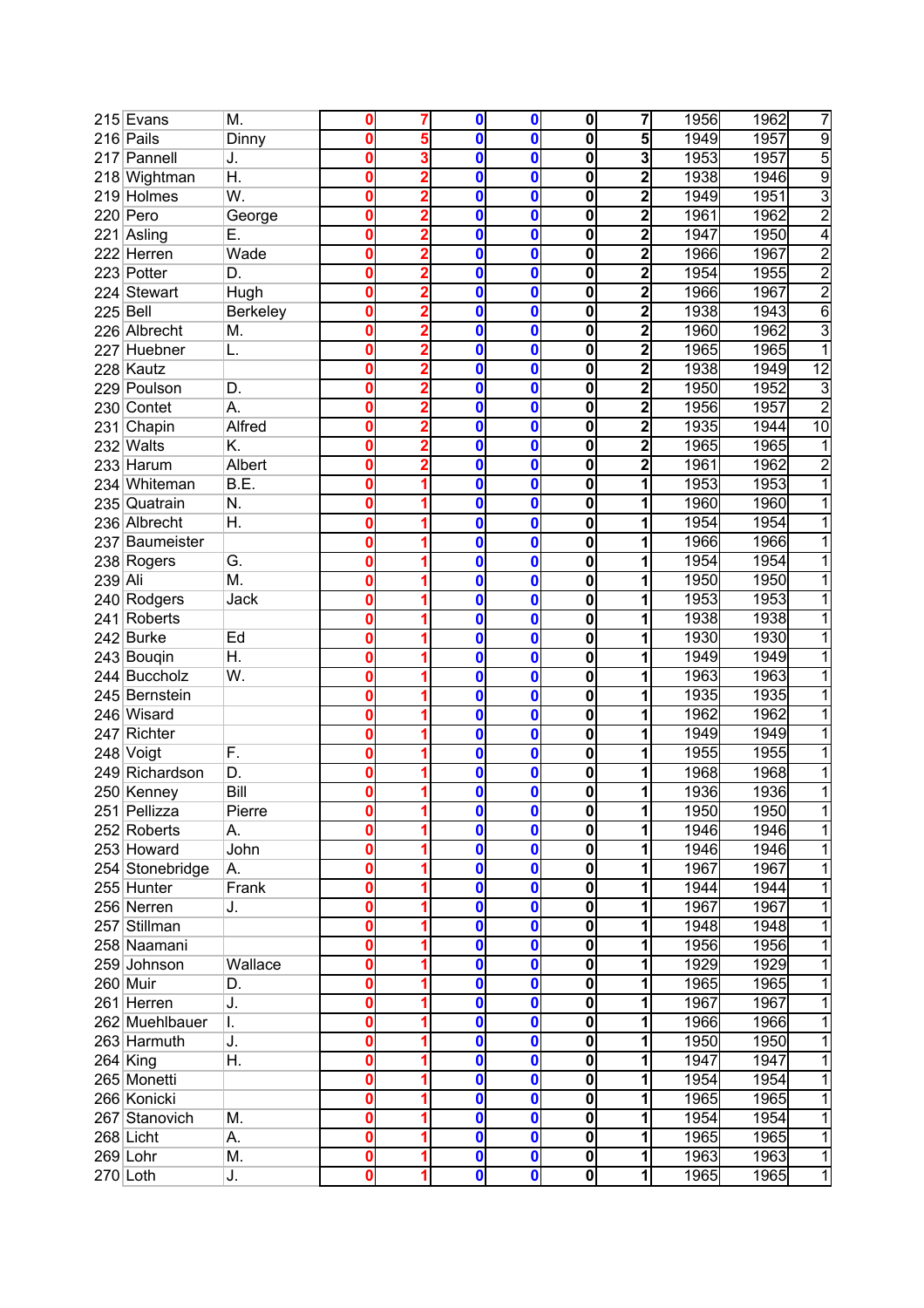|          | 215 Evans                  | М.              | 0      | 7 | 0            | 0 | 0                       | 7              | 1956 | 1962 | 7               |
|----------|----------------------------|-----------------|--------|---|--------------|---|-------------------------|----------------|------|------|-----------------|
|          | 216 Pails                  | Dinny           | 0      | 5 | 0            | 0 | 0                       | 5              | 1949 | 1957 | $\overline{9}$  |
|          | 217 Pannell                | J.              | 0      | 3 | 0            | 0 | 0                       | 3              | 1953 | 1957 | 5               |
|          | 218 Wightman               | Η.              | Ω      | 2 | 0            | 0 | 0                       | 2              | 1938 | 1946 | $\overline{9}$  |
|          | 219 Holmes                 | W.              | Ω      | 2 | 0            | 0 | 0                       | 2              | 1949 | 1951 | 3               |
|          | 220 Pero                   | George          | Ω      |   | 0            | 0 | $\mathbf 0$             | 2              | 1961 | 1962 | $\overline{2}$  |
|          | 221 Asling                 | Е.              | Ω      | 2 | 0            | 0 | 0                       | 2              | 1947 | 1950 | 4               |
|          | 222 Herren                 | Wade            | Ω      | 2 | 0            | 0 | 0                       | 2              | 1966 | 1967 | $\overline{2}$  |
|          | 223 Potter                 | D.              | 0      | 2 | $\mathbf 0$  | 0 | 0                       | 2              | 1954 | 1955 | $\overline{2}$  |
|          | 224 Stewart                | Hugh            | 0      | 2 | 0            | 0 | 0                       | 2              | 1966 | 1967 | $\overline{2}$  |
| 225 Bell |                            | <b>Berkeley</b> | 0      | 2 | 0            | 0 | 0                       | $\overline{2}$ | 1938 | 1943 | 6               |
|          | 226 Albrecht               | M.              | 0      | 2 | 0            | 0 | 0                       | $\overline{2}$ | 1960 | 1962 | 3               |
|          | 227 Huebner                | L.              | 0      | 2 | 0            | 0 | 0                       | 2              | 1965 | 1965 |                 |
|          | 228 Kautz                  |                 | 0      | 2 | 0            | 0 | $\mathbf 0$             | 2              | 1938 | 1949 | $\overline{12}$ |
|          | 229 Poulson                | D.              | Ω      |   | 0            | 0 | 0                       |                | 1950 | 1952 | 3               |
|          | 230 Contet                 | А.              | 0      |   | 0            | 0 | 0                       | 2              | 1956 | 1957 | $\overline{2}$  |
| 231      | Chapin                     | Alfred          | Ω      |   | 0            | 0 | 0                       |                | 1935 | 1944 | 10              |
|          | 232 Walts                  | K.              | 0      |   | $\mathbf{0}$ | 0 | 0                       | 2              | 1965 | 1965 |                 |
|          | 233 Harum                  | Albert          | 0      | 2 | $\mathbf{0}$ | 0 | 0                       | 2              | 1961 | 1962 | $\overline{c}$  |
|          | 234 Whiteman               | B.E.            | 0      |   | 0            | 0 | 0                       |                | 1953 | 1953 |                 |
|          | 235 Quatrain               | N.              | 0      |   | 0            | 0 | 0                       |                | 1960 | 1960 |                 |
|          | 236 Albrecht               | Η.              | 0      |   | 0            | 0 | 0                       | 1              | 1954 | 1954 |                 |
|          | 237 Baumeister             |                 | 0      |   | 0            | 0 | 0                       | 1              | 1966 | 1966 |                 |
|          |                            | G.              | 0      | 1 | 0            | 0 | 0                       | 1              | 1954 | 1954 |                 |
|          | 238 Rogers                 | M.              | 0      |   | 0            |   | 0                       | 1              |      |      |                 |
| 239 Ali  |                            |                 |        |   |              | 0 |                         |                | 1950 | 1950 |                 |
|          | 240 Rodgers<br>241 Roberts | Jack            | 0<br>0 |   | 0            | 0 | 0                       | 1              | 1953 | 1953 |                 |
|          |                            |                 |        | 1 | 0            | 0 | 0                       | 1              | 1938 | 1938 |                 |
|          | 242 Burke                  | Ed              | 0      | 1 | $\mathbf{0}$ | 0 | 0                       | 1              | 1930 | 1930 |                 |
|          | 243 Bougin                 | Η.              | 0      |   | 0            | 0 | 0                       | 1              | 1949 | 1949 |                 |
|          | 244 Buccholz               | W.              | 0      |   | 0            | 0 | 0                       | 1              | 1963 | 1963 |                 |
|          | 245 Bernstein              |                 | 0      |   | $\mathbf{0}$ | 0 | $\overline{\mathbf{0}}$ | 1              | 1935 | 1935 |                 |
|          | 246 Wisard                 |                 | Ω      |   | 0            | 0 | 0                       | 1              | 1962 | 1962 |                 |
|          | 247 Richter                |                 | Ω      |   | 0            | 0 | 0                       |                | 1949 | 1949 |                 |
|          | 248 Voigt                  | F.              | 0      |   | 0            | 0 | 0                       |                | 1955 | 1955 |                 |
|          | 249 Richardson             | D.              | 0      | 1 | 0            | 0 | 0                       | 1              | 1968 | 1968 |                 |
|          | 250 Kenney                 | Bill            | Ω      |   | 0            | 0 | 0                       | 1              | 1936 | 1936 | 1               |
|          | 251 Pellizza               | Pierre          | 0      |   | 0            | U | 0                       | 1              | 1950 | 1950 |                 |
|          | 252 Roberts                | А.              | 0      |   | $\mathbf 0$  | 0 | 0                       |                | 1946 | 1946 | 1               |
|          | 253 Howard                 | John            | 0      |   | 0            | 0 | $\mathbf 0$             |                | 1946 | 1946 | 1               |
|          | 254 Stonebridge            | А.              | 0      |   | 0            | 0 | $\mathbf 0$             |                | 1967 | 1967 |                 |
|          | 255 Hunter                 | Frank           | 0      |   | 0            | 0 | $\mathbf 0$             |                | 1944 | 1944 | 1               |
|          | 256 Nerren                 | J.              | 0      |   | 0            | 0 | 0                       |                | 1967 | 1967 |                 |
|          | 257 Stillman               |                 | 0      |   | 0            | 0 | 0                       |                | 1948 | 1948 |                 |
|          | 258 Naamani                |                 | 0      |   | 0            | 0 | 0                       |                | 1956 | 1956 | 1               |
|          | 259 Johnson                | Wallace         | 0      |   | 0            | 0 | 0                       |                | 1929 | 1929 | 1               |
|          | $260$ Muir                 | D.              | 0      |   | 0            | 0 | $\mathbf 0$             |                | 1965 | 1965 |                 |
|          | 261 Herren                 | J.              | 0      |   | 0            | 0 | $\mathbf 0$             |                | 1967 | 1967 |                 |
|          | 262 Muehlbauer             | I.              | 0      |   | 0            | 0 | $\mathbf 0$             |                | 1966 | 1966 |                 |
|          | 263 Harmuth                | J.              | 0      |   | 0            | 0 | $\mathbf 0$             |                | 1950 | 1950 |                 |
|          | $264$ King                 | Η.              | Ω      |   | 0            | 0 | $\mathbf 0$             |                | 1947 | 1947 |                 |
|          | 265 Monetti                |                 |        |   | 0            | 0 | $\overline{\mathbf{o}}$ |                | 1954 | 1954 |                 |
|          | 266 Konicki                |                 | 0      |   | 0            | 0 | $\overline{\mathbf{o}}$ |                | 1965 | 1965 | 1               |
|          | 267 Stanovich              | M.              | 0      |   | 0            | 0 | 0                       |                | 1954 | 1954 | 1               |
|          | 268 Licht                  | А.              | 0      |   | 0            | 0 | $\mathbf 0$             |                | 1965 | 1965 | 1               |
|          | 269 Lohr                   | M.              | 0      |   | 0            | 0 | $\mathbf 0$             |                | 1963 | 1963 | 1               |
|          | $270$ Loth                 | J.              | 0      |   | 0            | 0 | $\mathbf 0$             | 1              | 1965 | 1965 | 1               |